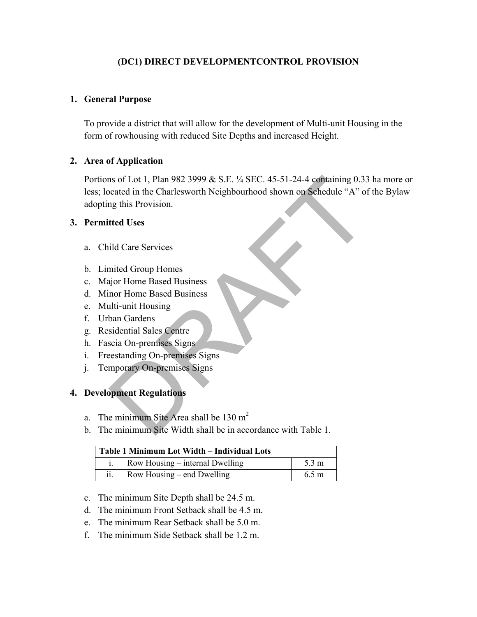# **(DC1) DIRECT DEVELOPMENTCONTROL PROVISION**

# **1. General Purpose**

To provide a district that will allow for the development of Multi-unit Housing in the form of rowhousing with reduced Site Depths and increased Height.

### **2. Area of Application**

Portions of Lot 1, Plan 982 3999 & S.E. ¼ SEC. 45-51-24-4 containing 0.33 ha more or less; located in the Charlesworth Neighbourhood shown on Schedule "A" of the Bylaw adopting this Provision. ns of Lot 1, Plan 982 3999 & S.E. ¼ SEC. 45-51-24-4 containing 0.33<br>
ocated in the Charlesworth Neighbourhood shown on Schedule "A" of<br>
mg this Provision.<br>
tted Uses<br>
ild Care Services<br>
ild Care Services<br>
ild Care Services

### **3. Permitted Uses**

- a. Child Care Services
- b. Limited Group Homes
- c. Major Home Based Business
- d. Minor Home Based Business
- e. Multi-unit Housing
- f. Urban Gardens
- g. Residential Sales Centre
- h. Fascia On-premises Signs
- i. Freestanding On-premises Signs
- j. Temporary On-premises Signs

### **4. Development Regulations**

- a. The minimum Site Area shall be  $130 \text{ m}^2$
- b. The minimum Site Width shall be in accordance with Table 1.

| Table 1 Minimum Lot Width - Individual Lots |                                 |                 |  |
|---------------------------------------------|---------------------------------|-----------------|--|
|                                             | Row Housing – internal Dwelling | $5.3 \text{ m}$ |  |
| . .<br>11.                                  | Row Housing – end Dwelling      | $6.5 \text{ m}$ |  |

- c. The minimum Site Depth shall be 24.5 m.
- d. The minimum Front Setback shall be 4.5 m.
- e. The minimum Rear Setback shall be 5.0 m.
- f. The minimum Side Setback shall be 1.2 m.